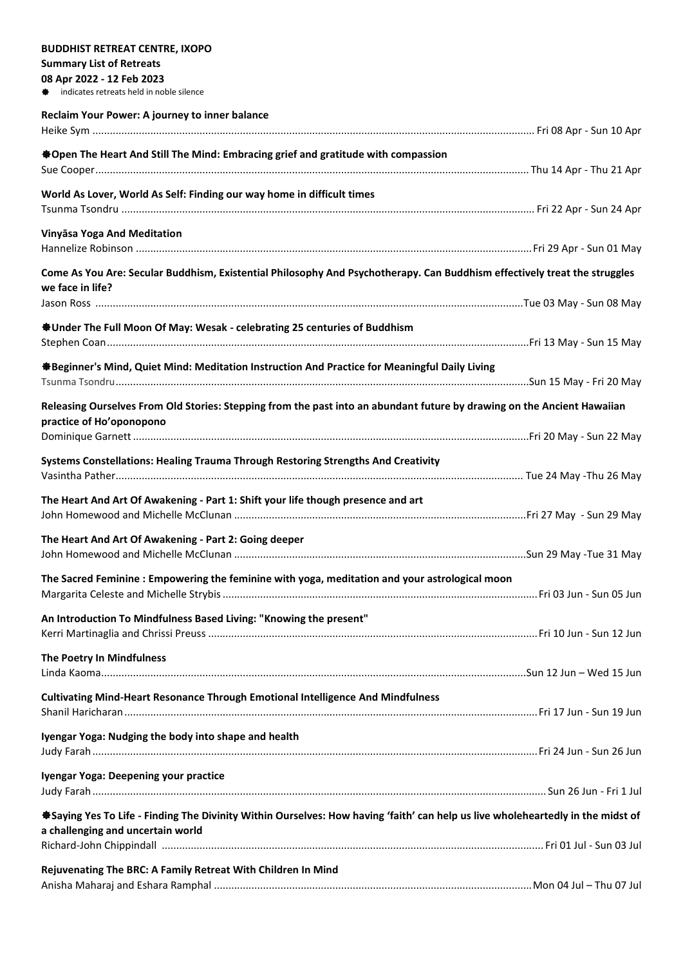| <b>BUDDHIST RETREAT CENTRE, IXOPO</b>                                                                                                         |  |  |
|-----------------------------------------------------------------------------------------------------------------------------------------------|--|--|
| <b>Summary List of Retreats</b>                                                                                                               |  |  |
| 08 Apr 2022 - 12 Feb 2023                                                                                                                     |  |  |
| # indicates retreats held in noble silence                                                                                                    |  |  |
| Reclaim Your Power: A journey to inner balance                                                                                                |  |  |
|                                                                                                                                               |  |  |
| <b>*Open The Heart And Still The Mind: Embracing grief and gratitude with compassion</b>                                                      |  |  |
|                                                                                                                                               |  |  |
| World As Lover, World As Self: Finding our way home in difficult times                                                                        |  |  |
|                                                                                                                                               |  |  |
| Vinyāsa Yoga And Meditation                                                                                                                   |  |  |
| Come As You Are: Secular Buddhism, Existential Philosophy And Psychotherapy. Can Buddhism effectively treat the struggles<br>we face in life? |  |  |
|                                                                                                                                               |  |  |
| <b><math>\triangleq</math> Under The Full Moon Of May: Wesak - celebrating 25 centuries of Buddhism</b>                                       |  |  |
| ※Beginner's Mind, Quiet Mind: Meditation Instruction And Practice for Meaningful Daily Living                                                 |  |  |
| Releasing Ourselves From Old Stories: Stepping from the past into an abundant future by drawing on the Ancient Hawaiian                       |  |  |
| practice of Ho'oponopono                                                                                                                      |  |  |
| Systems Constellations: Healing Trauma Through Restoring Strengths And Creativity                                                             |  |  |
| The Heart And Art Of Awakening - Part 1: Shift your life though presence and art                                                              |  |  |
| The Heart And Art Of Awakening - Part 2: Going deeper                                                                                         |  |  |
|                                                                                                                                               |  |  |
| The Sacred Feminine: Empowering the feminine with yoga, meditation and your astrological moon                                                 |  |  |
|                                                                                                                                               |  |  |
| An Introduction To Mindfulness Based Living: "Knowing the present"                                                                            |  |  |
| The Poetry In Mindfulness                                                                                                                     |  |  |
|                                                                                                                                               |  |  |
| Cultivating Mind-Heart Resonance Through Emotional Intelligence And Mindfulness                                                               |  |  |
| Iyengar Yoga: Nudging the body into shape and health                                                                                          |  |  |
| Iyengar Yoga: Deepening your practice                                                                                                         |  |  |
| *Saying Yes To Life - Finding The Divinity Within Ourselves: How having 'faith' can help us live wholeheartedly in the midst of               |  |  |
| a challenging and uncertain world                                                                                                             |  |  |
|                                                                                                                                               |  |  |
| Rejuvenating The BRC: A Family Retreat With Children In Mind                                                                                  |  |  |
|                                                                                                                                               |  |  |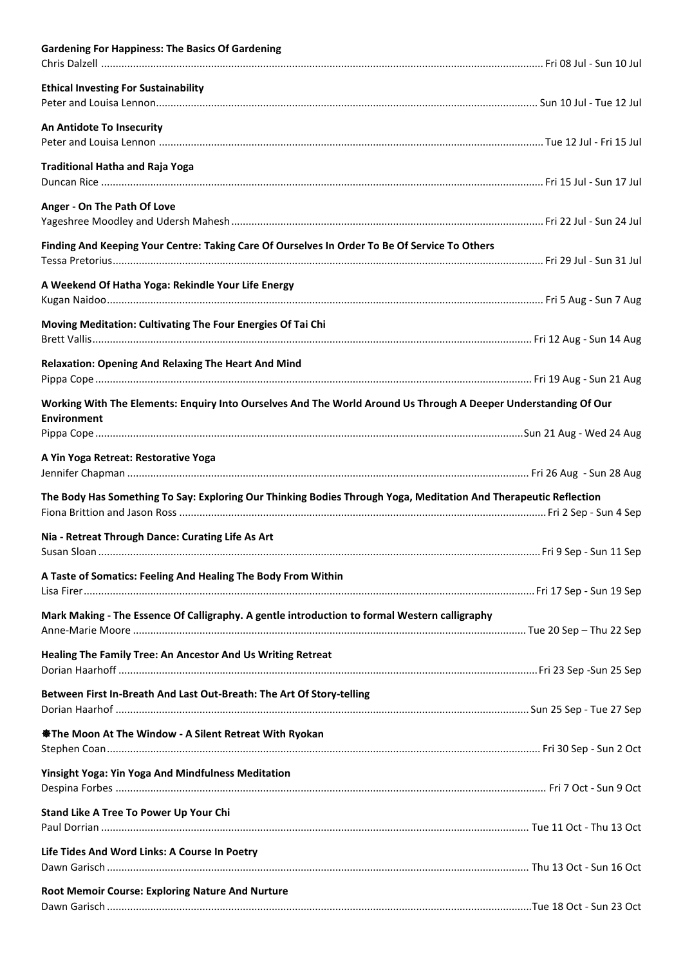| <b>Gardening For Happiness: The Basics Of Gardening</b>                                                                               |  |
|---------------------------------------------------------------------------------------------------------------------------------------|--|
| <b>Ethical Investing For Sustainability</b>                                                                                           |  |
| An Antidote To Insecurity                                                                                                             |  |
| <b>Traditional Hatha and Raja Yoga</b>                                                                                                |  |
| Anger - On The Path Of Love                                                                                                           |  |
| Finding And Keeping Your Centre: Taking Care Of Ourselves In Order To Be Of Service To Others                                         |  |
| A Weekend Of Hatha Yoga: Rekindle Your Life Energy                                                                                    |  |
| Moving Meditation: Cultivating The Four Energies Of Tai Chi                                                                           |  |
| <b>Relaxation: Opening And Relaxing The Heart And Mind</b>                                                                            |  |
| Working With The Elements: Enquiry Into Ourselves And The World Around Us Through A Deeper Understanding Of Our<br><b>Environment</b> |  |
| A Yin Yoga Retreat: Restorative Yoga                                                                                                  |  |
| The Body Has Something To Say: Exploring Our Thinking Bodies Through Yoga, Meditation And Therapeutic Reflection                      |  |
| Nia - Retreat Through Dance: Curating Life As Art                                                                                     |  |
| A Taste of Somatics: Feeling And Healing The Body From Within                                                                         |  |
| Mark Making - The Essence Of Calligraphy. A gentle introduction to formal Western calligraphy                                         |  |
| Healing The Family Tree: An Ancestor And Us Writing Retreat                                                                           |  |
| Between First In-Breath And Last Out-Breath: The Art Of Story-telling                                                                 |  |
| <b>※ The Moon At The Window - A Silent Retreat With Ryokan</b>                                                                        |  |
| <b>Yinsight Yoga: Yin Yoga And Mindfulness Meditation</b>                                                                             |  |
| Stand Like A Tree To Power Up Your Chi                                                                                                |  |
| Life Tides And Word Links: A Course In Poetry                                                                                         |  |
| Root Memoir Course: Exploring Nature And Nurture                                                                                      |  |